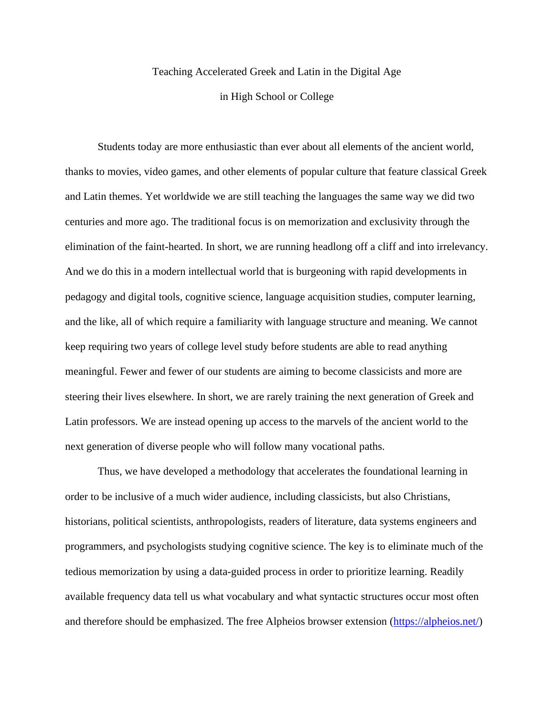## Teaching Accelerated Greek and Latin in the Digital Age in High School or College

Students today are more enthusiastic than ever about all elements of the ancient world, thanks to movies, video games, and other elements of popular culture that feature classical Greek and Latin themes. Yet worldwide we are still teaching the languages the same way we did two centuries and more ago. The traditional focus is on memorization and exclusivity through the elimination of the faint-hearted. In short, we are running headlong off a cliff and into irrelevancy. And we do this in a modern intellectual world that is burgeoning with rapid developments in pedagogy and digital tools, cognitive science, language acquisition studies, computer learning, and the like, all of which require a familiarity with language structure and meaning. We cannot keep requiring two years of college level study before students are able to read anything meaningful. Fewer and fewer of our students are aiming to become classicists and more are steering their lives elsewhere. In short, we are rarely training the next generation of Greek and Latin professors. We are instead opening up access to the marvels of the ancient world to the next generation of diverse people who will follow many vocational paths.

Thus, we have developed a methodology that accelerates the foundational learning in order to be inclusive of a much wider audience, including classicists, but also Christians, historians, political scientists, anthropologists, readers of literature, data systems engineers and programmers, and psychologists studying cognitive science. The key is to eliminate much of the tedious memorization by using a data-guided process in order to prioritize learning. Readily available frequency data tell us what vocabulary and what syntactic structures occur most often and therefore should be emphasized. The free Alpheios browser extension [\(https://alpheios.net/\)](https://alpheios.net/)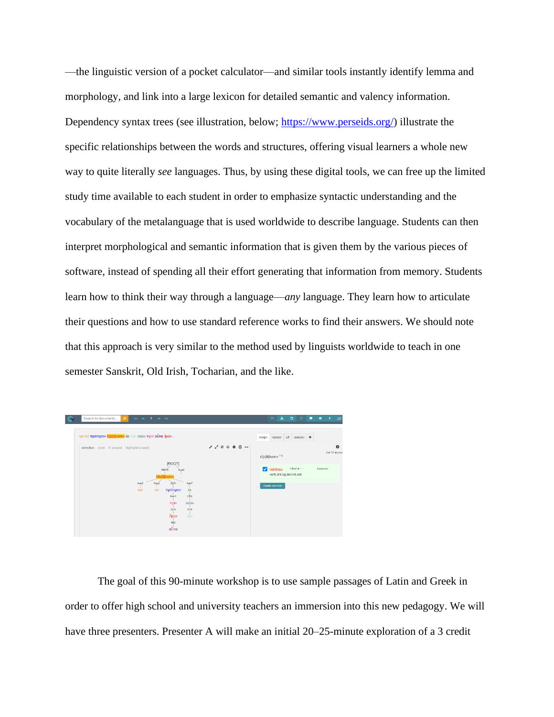—the linguistic version of a pocket calculator—and similar tools instantly identify lemma and morphology, and link into a large lexicon for detailed semantic and valency information. Dependency syntax trees (see illustration, below; [https://www.perseids.org/\)](https://www.perseids.org/) illustrate the specific relationships between the words and structures, offering visual learners a whole new way to quite literally *see* languages. Thus, by using these digital tools, we can free up the limited study time available to each student in order to emphasize syntactic understanding and the vocabulary of the metalanguage that is used worldwide to describe language. Students can then interpret morphological and semantic information that is given them by the various pieces of software, instead of spending all their effort generating that information from memory. Students learn how to think their way through a language—*any* language. They learn how to articulate their questions and how to use standard reference works to find their answers. We should note that this approach is very similar to the method used by linguists worldwide to teach in one semester Sanskrit, Old Irish, Tocharian, and the like.

| Search for documents<br>ا م<br>не 4 7 → н<br>καί ού πρότερον έξεβίβασεν έκ τών νεών πρίν αὖται ἦκον.                                                         |                                                                                                                                  | A.<br>H<br><b>D</b><br>C<br>п<br>relation aT selector $\phi$<br>morph                          | $\bullet$<br>$\overline{\mathbf{r}}$<br><b>ER</b> |
|--------------------------------------------------------------------------------------------------------------------------------------------------------------|----------------------------------------------------------------------------------------------------------------------------------|------------------------------------------------------------------------------------------------|---------------------------------------------------|
| selection none 0 unused highlight unused<br>[ROOT]<br>PRED<br><b>AusK</b><br>έξεβίβασεν<br>AuxY<br><b>ADV</b><br>Aux2<br>AuxP<br>ού<br>kai<br>πρότερον<br>έĸ | $\begin{array}{ccccccccccccccccc} \star & \star & \circ & \circ & \circ & \circ & \circ & \circ & \bullet & \bullet \end{array}$ | έξεβίβασεν 7-4<br>$v3s$ aia---<br>Ø.<br>έκβιβάζω<br>verb.3rd.sg.aor.ind.act<br>Create new torm | o<br>0 of 11 unused<br>document                   |
| <b>OBJ</b><br>AuxC<br><b>TIPIV</b><br>νεών<br><b>ATR</b><br><b>ADV</b><br>ňkov<br>τών<br>SBJ<br>αὖται                                                        |                                                                                                                                  |                                                                                                |                                                   |

The goal of this 90-minute workshop is to use sample passages of Latin and Greek in order to offer high school and university teachers an immersion into this new pedagogy. We will have three presenters. Presenter A will make an initial 20–25-minute exploration of a 3 credit